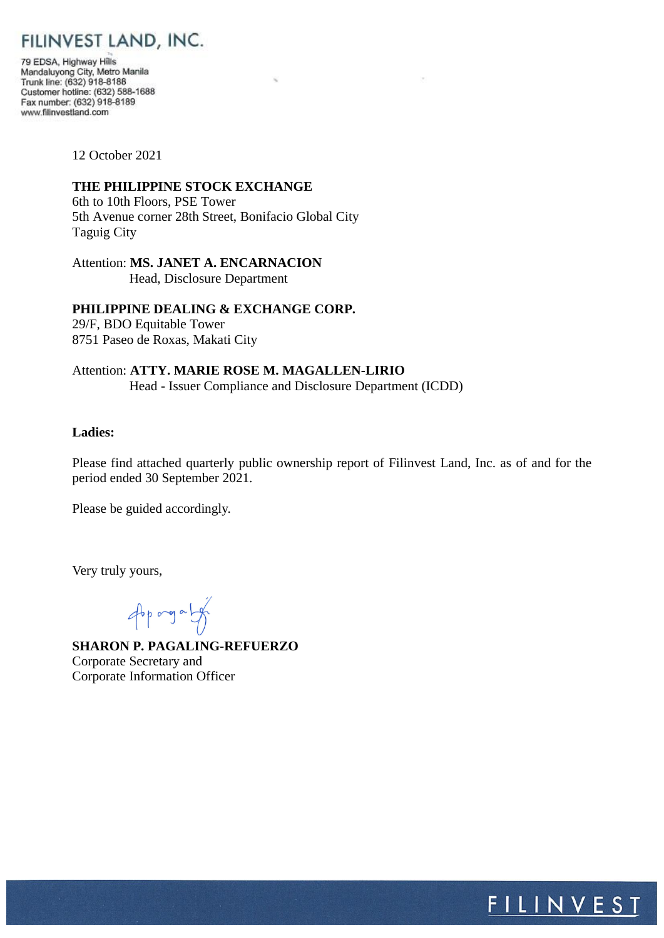# FILINVEST LAND, INC.

79 EDSA, Highway Hills Mandaluyong City, Metro Manila<br>Trunk line: (632) 918-8188 Customer hotline: (632) 588-1688 Fax number: (632) 918-8189 www.filinvestland.com

12 October 2021

# **THE PHILIPPINE STOCK EXCHANGE**

6th to 10th Floors, PSE Tower 5th Avenue corner 28th Street, Bonifacio Global City Taguig City

Attention: **MS. JANET A. ENCARNACION** Head, Disclosure Department

# **PHILIPPINE DEALING & EXCHANGE CORP.**

29/F, BDO Equitable Tower 8751 Paseo de Roxas, Makati City

Attention: **ATTY. MARIE ROSE M. MAGALLEN-LIRIO** Head - Issuer Compliance and Disclosure Department (ICDD)

# **Ladies:**

Please find attached quarterly public ownership report of Filinvest Land, Inc. as of and for the period ended 30 September 2021.

Please be guided accordingly.

Very truly yours,

opported

**SHARON P. PAGALING-REFUERZO** Corporate Secretary and Corporate Information Officer

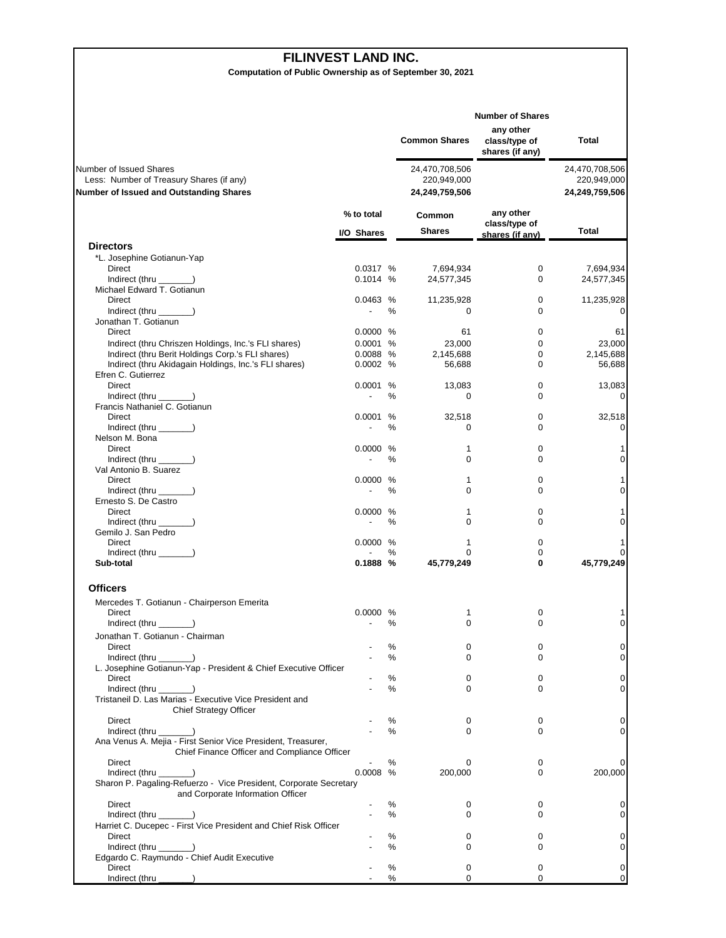#### **FILINVEST LAND INC.**

**Computation of Public Ownership as of September 30, 2021**

|                                                                                                                       |                          |        | <b>Common Shares</b>                            | <b>Number of Shares</b><br>any other<br>class/type of<br>shares (if any) | Total                                           |
|-----------------------------------------------------------------------------------------------------------------------|--------------------------|--------|-------------------------------------------------|--------------------------------------------------------------------------|-------------------------------------------------|
| Number of Issued Shares<br>Less: Number of Treasury Shares (if any)<br><b>Number of Issued and Outstanding Shares</b> |                          |        | 24,470,708,506<br>220,949,000<br>24,249,759,506 |                                                                          | 24,470,708,506<br>220,949,000<br>24,249,759,506 |
|                                                                                                                       | % to total<br>I/O Shares |        | Common<br><b>Shares</b>                         | any other<br>class/type of<br>shares (if any)                            | Total                                           |
| <b>Directors</b>                                                                                                      |                          |        |                                                 |                                                                          |                                                 |
| *L. Josephine Gotianun-Yap                                                                                            |                          |        |                                                 |                                                                          |                                                 |
| Direct<br>Indirect (thru _______)                                                                                     | 0.0317 %<br>0.1014%      |        | 7,694,934<br>24,577,345                         | 0<br>0                                                                   | 7,694,934<br>24,577,345                         |
| Michael Edward T. Gotianun                                                                                            |                          |        |                                                 |                                                                          |                                                 |
| Direct                                                                                                                | 0.0463 %                 |        | 11,235,928                                      | 0                                                                        | 11,235,928                                      |
| $Indirect$ (thru $\qquad$ )                                                                                           | $\overline{\phantom{a}}$ | %      | 0                                               | 0                                                                        | 0                                               |
| Jonathan T. Gotianun<br>Direct                                                                                        | 0.0000 %                 |        | 61                                              | 0                                                                        | 61                                              |
| Indirect (thru Chriszen Holdings, Inc.'s FLI shares)                                                                  | 0.0001 %                 |        | 23,000                                          | 0                                                                        | 23,000                                          |
| Indirect (thru Berit Holdings Corp.'s FLI shares)                                                                     | 0.0088 %                 |        | 2,145,688                                       | 0                                                                        | 2,145,688                                       |
| Indirect (thru Akidagain Holdings, Inc.'s FLI shares)                                                                 | 0.0002 %                 |        | 56,688                                          | 0                                                                        | 56,688                                          |
| Efren C. Gutierrez                                                                                                    |                          |        |                                                 |                                                                          |                                                 |
| Direct<br>Indirect (thru ______)                                                                                      | 0.0001 %                 | %      | 13,083<br>$\mathbf 0$                           | 0<br>$\Omega$                                                            | 13,083<br>0                                     |
| Francis Nathaniel C. Gotianun                                                                                         |                          |        |                                                 |                                                                          |                                                 |
| Direct                                                                                                                | 0.0001                   | %      | 32,518                                          | 0                                                                        | 32,518                                          |
| Indirect (thru $\_\_\_\_\_\$ )                                                                                        | $\overline{\phantom{a}}$ | $\%$   | $\Omega$                                        | $\Omega$                                                                 | 0                                               |
| Nelson M. Bona<br>Direct                                                                                              | 0.0000 %                 |        | 1                                               | 0                                                                        | 1                                               |
| Indirect (thru ______)                                                                                                | $\overline{a}$           | $\%$   | 0                                               | 0                                                                        | 0                                               |
| Val Antonio B. Suarez                                                                                                 |                          |        |                                                 |                                                                          |                                                 |
| Direct                                                                                                                | 0.0000 %                 |        | 1                                               | 0                                                                        | 1                                               |
| Indirect (thru _______)<br>Ernesto S. De Castro                                                                       |                          | ℅      | 0                                               | 0                                                                        | 0                                               |
| Direct                                                                                                                | 0.0000 %                 |        | 1                                               | 0                                                                        | 1                                               |
| Indirect (thru ______)                                                                                                |                          | %      | $\Omega$                                        | 0                                                                        | 0                                               |
| Gemilo J. San Pedro                                                                                                   |                          |        |                                                 |                                                                          |                                                 |
| Direct<br>Indirect (thru _______)                                                                                     | 0.0000 %                 | %      | 1<br>$\Omega$                                   | 0<br>0                                                                   | 1<br>0                                          |
| Sub-total                                                                                                             | 0.1888 %                 |        | 45,779,249                                      | 0                                                                        | 45,779,249                                      |
| <b>Officers</b>                                                                                                       |                          |        |                                                 |                                                                          |                                                 |
| Mercedes T. Gotianun - Chairperson Emerita                                                                            |                          |        |                                                 |                                                                          |                                                 |
| Direct                                                                                                                | 0.0000 %                 | %      | 1<br>$\Omega$                                   | 0<br>$\Omega$                                                            | 1<br>0                                          |
| Indirect (thru $\_\_\_\_\_\$ )<br>Jonathan T. Gotianun - Chairman                                                     |                          |        |                                                 |                                                                          |                                                 |
| Direct                                                                                                                |                          | %      | 0                                               | 0                                                                        | 0                                               |
| $Indirect$ (thru $\qquad$ )                                                                                           |                          | %      | 0                                               | 0                                                                        | 0                                               |
| L. Josephine Gotianun-Yap - President & Chief Executive Officer                                                       |                          |        |                                                 |                                                                          |                                                 |
| <b>Direct</b>                                                                                                         |                          | ℅<br>% | 0<br>$\Omega$                                   | 0<br>0                                                                   | 0<br>0                                          |
| Tristaneil D. Las Marias - Executive Vice President and                                                               |                          |        |                                                 |                                                                          |                                                 |
| <b>Chief Strategy Officer</b>                                                                                         |                          |        |                                                 |                                                                          |                                                 |
| <b>Direct</b>                                                                                                         |                          | %      | 0                                               | 0                                                                        | 0                                               |
| $Indirect$ (thru $\qquad$ )                                                                                           |                          | $\%$   | $\mathbf 0$                                     | 0                                                                        | 0                                               |
| Ana Venus A. Mejia - First Senior Vice President, Treasurer,<br>Chief Finance Officer and Compliance Officer          |                          |        |                                                 |                                                                          |                                                 |
| Direct                                                                                                                |                          | ℅      | 0                                               | 0                                                                        | 0                                               |
| $Indirect$ (thru $\qquad$ )                                                                                           | $0.0008$ %               |        | 200,000                                         | 0                                                                        | 200,000                                         |
| Sharon P. Pagaling-Refuerzo - Vice President, Corporate Secretary                                                     |                          |        |                                                 |                                                                          |                                                 |
| and Corporate Information Officer<br>Direct                                                                           |                          | %      | 0                                               | 0                                                                        | 0                                               |
| Indirect (thru $\_\_\_\_\_\$ )                                                                                        |                          | %      | 0                                               | 0                                                                        | 0                                               |
| Harriet C. Ducepec - First Vice President and Chief Risk Officer                                                      |                          |        |                                                 |                                                                          |                                                 |
| Direct                                                                                                                |                          | %      | 0                                               | 0                                                                        | 0                                               |
| $Indirect$ (thru $\qquad$ )<br>Edgardo C. Raymundo - Chief Audit Executive                                            |                          | ℅      | $\Omega$                                        | 0                                                                        | 0                                               |
| Direct                                                                                                                |                          | %      | 0                                               | 0                                                                        | 0                                               |
| Indirect (thru ____                                                                                                   |                          | ℅      | 0                                               | 0                                                                        | 0                                               |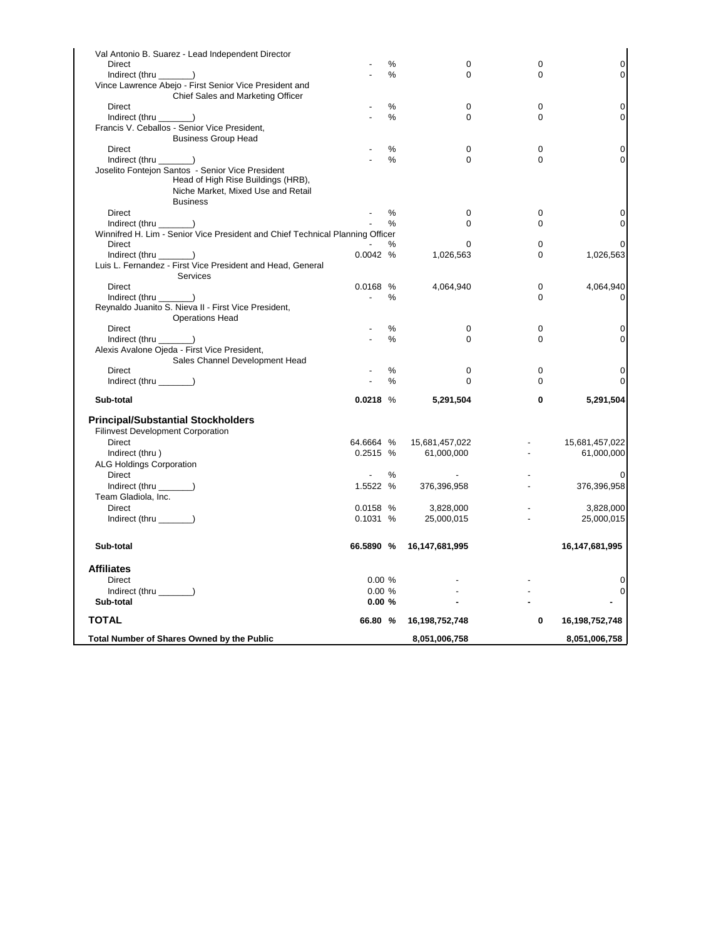| Val Antonio B. Suarez - Lead Independent Director                             |                          |      |                |             |                     |
|-------------------------------------------------------------------------------|--------------------------|------|----------------|-------------|---------------------|
| Direct                                                                        |                          | %    | 0              | 0           | $\mathsf{O}\xspace$ |
| $Indirect$ (thru $\_\_\_\_\_\$ )                                              |                          | $\%$ | $\Omega$       | $\Omega$    | 0                   |
| Vince Lawrence Abejo - First Senior Vice President and                        |                          |      |                |             |                     |
| Chief Sales and Marketing Officer                                             |                          |      |                |             |                     |
| Direct                                                                        |                          | $\%$ | 0              | $\mathbf 0$ | 0                   |
| Indirect (thru ______)                                                        |                          | %    | 0              | $\mathbf 0$ | 0                   |
| Francis V. Ceballos - Senior Vice President,                                  |                          |      |                |             |                     |
| <b>Business Group Head</b>                                                    |                          |      |                |             |                     |
| Direct                                                                        |                          | %    | 0              | $\mathbf 0$ | 0                   |
| $Indirect$ (thru $\_\_\_\_\_\$ )                                              |                          | $\%$ | 0              | $\mathbf 0$ | 0                   |
| Joselito Fontejon Santos - Senior Vice President                              |                          |      |                |             |                     |
| Head of High Rise Buildings (HRB),                                            |                          |      |                |             |                     |
| Niche Market, Mixed Use and Retail                                            |                          |      |                |             |                     |
| <b>Business</b>                                                               |                          |      |                |             |                     |
| Direct                                                                        |                          | %    | 0              | $\mathbf 0$ | 0                   |
| $Indirect$ (thru $\_\_\_\_\_\_\$ )                                            |                          | %    | 0              | $\mathbf 0$ | 0                   |
| Winnifred H. Lim - Senior Vice President and Chief Technical Planning Officer |                          |      |                |             |                     |
| <b>Direct</b>                                                                 |                          | %    | 0              | $\mathbf 0$ | 0                   |
| $Indirect$ (thru $\_\_\_\_\_\_\$ )                                            | 0.0042%                  |      | 1,026,563      | $\Omega$    | 1,026,563           |
| Luis L. Fernandez - First Vice President and Head, General                    |                          |      |                |             |                     |
| Services                                                                      |                          |      |                |             |                     |
| Direct                                                                        | 0.0168 %                 |      | 4,064,940      | 0           | 4,064,940           |
| Indirect (thru ________)                                                      | $\sim$                   | %    |                | $\Omega$    | 0                   |
| Reynaldo Juanito S. Nieva II - First Vice President,                          |                          |      |                |             |                     |
| <b>Operations Head</b>                                                        |                          |      |                |             |                     |
| Direct                                                                        |                          | %    | 0              | 0           | 0                   |
| Indirect (thru ______)                                                        |                          | %    | 0              | $\mathbf 0$ | 0                   |
| Alexis Avalone Ojeda - First Vice President,                                  |                          |      |                |             |                     |
| Sales Channel Development Head                                                |                          |      |                |             |                     |
| Direct                                                                        |                          | %    | 0              | $\mathbf 0$ | 0                   |
| Indirect (thru $\_\_\_\_\_\_$ )                                               |                          | $\%$ | $\Omega$       | $\Omega$    | 0                   |
| Sub-total                                                                     | $0.0218$ %               |      | 5,291,504      | 0           | 5,291,504           |
| <b>Principal/Substantial Stockholders</b>                                     |                          |      |                |             |                     |
| <b>Filinvest Development Corporation</b>                                      |                          |      |                |             |                     |
| Direct                                                                        | 64.6664 %                |      | 15,681,457,022 |             | 15,681,457,022      |
| Indirect (thru)                                                               | 0.2515 %                 |      | 61,000,000     |             | 61,000,000          |
| <b>ALG Holdings Corporation</b>                                               |                          |      |                |             |                     |
| <b>Direct</b>                                                                 | $\overline{\phantom{a}}$ | %    |                |             |                     |
| Indirect (thru _______)                                                       | 1.5522 %                 |      | 376,396,958    |             | 376,396,958         |
| Team Gladiola, Inc.                                                           |                          |      |                |             |                     |
| <b>Direct</b>                                                                 | 0.0158 %                 |      | 3,828,000      |             | 3,828,000           |
| Indirect (thru _______)                                                       | 0.1031%                  |      | 25,000,015     |             | 25,000,015          |
|                                                                               |                          |      |                |             |                     |
| Sub-total                                                                     | 66.5890 %                |      | 16,147,681,995 |             | 16,147,681,995      |
| <b>Affiliates</b>                                                             |                          |      |                |             |                     |
| <b>Direct</b>                                                                 | 0.00%                    |      |                |             | 0                   |
| Indirect (thru _______)                                                       | 0.00%                    |      |                |             | 0                   |
| Sub-total                                                                     | 0.00%                    |      |                |             |                     |
| <b>TOTAL</b>                                                                  | 66.80 %                  |      | 16,198,752,748 | 0           | 16,198,752,748      |
| Total Number of Shares Owned by the Public                                    |                          |      | 8,051,006,758  |             | 8,051,006,758       |